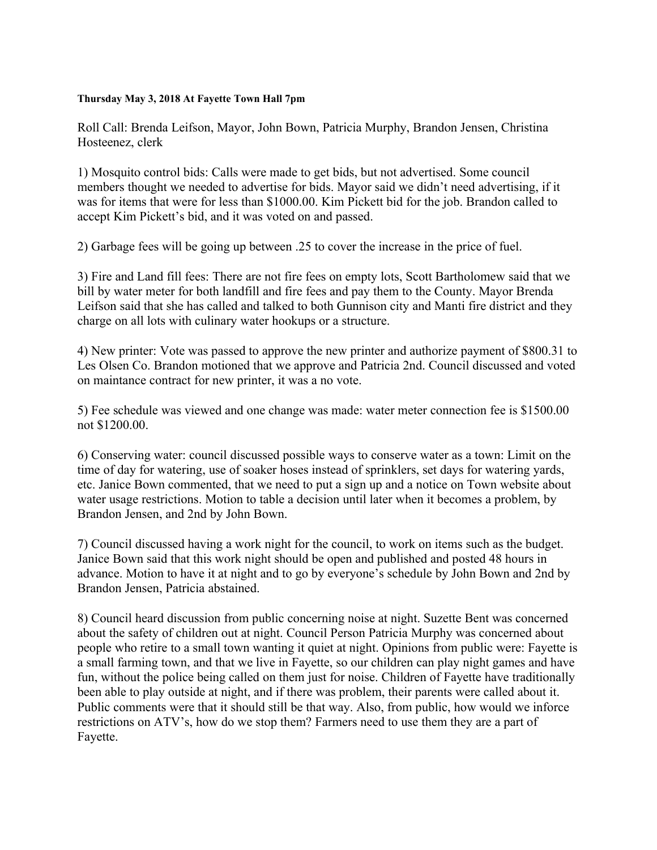## **Thursday May 3, 2018 At Fayette Town Hall 7pm**

Roll Call: Brenda Leifson, Mayor, John Bown, Patricia Murphy, Brandon Jensen, Christina Hosteenez, clerk

1) Mosquito control bids: Calls were made to get bids, but not advertised. Some council members thought we needed to advertise for bids. Mayor said we didn't need advertising, if it was for items that were for less than \$1000.00. Kim Pickett bid for the job. Brandon called to accept Kim Pickett's bid, and it was voted on and passed.

2) Garbage fees will be going up between .25 to cover the increase in the price of fuel.

3) Fire and Land fill fees: There are not fire fees on empty lots, Scott Bartholomew said that we bill by water meter for both landfill and fire fees and pay them to the County. Mayor Brenda Leifson said that she has called and talked to both Gunnison city and Manti fire district and they charge on all lots with culinary water hookups or a structure.

4) New printer: Vote was passed to approve the new printer and authorize payment of \$800.31 to Les Olsen Co. Brandon motioned that we approve and Patricia 2nd. Council discussed and voted on maintance contract for new printer, it was a no vote.

5) Fee schedule was viewed and one change was made: water meter connection fee is \$1500.00 not \$1200.00.

6) Conserving water: council discussed possible ways to conserve water as a town: Limit on the time of day for watering, use of soaker hoses instead of sprinklers, set days for watering yards, etc. Janice Bown commented, that we need to put a sign up and a notice on Town website about water usage restrictions. Motion to table a decision until later when it becomes a problem, by Brandon Jensen, and 2nd by John Bown.

7) Council discussed having a work night for the council, to work on items such as the budget. Janice Bown said that this work night should be open and published and posted 48 hours in advance. Motion to have it at night and to go by everyone's schedule by John Bown and 2nd by Brandon Jensen, Patricia abstained.

8) Council heard discussion from public concerning noise at night. Suzette Bent was concerned about the safety of children out at night. Council Person Patricia Murphy was concerned about people who retire to a small town wanting it quiet at night. Opinions from public were: Fayette is a small farming town, and that we live in Fayette, so our children can play night games and have fun, without the police being called on them just for noise. Children of Fayette have traditionally been able to play outside at night, and if there was problem, their parents were called about it. Public comments were that it should still be that way. Also, from public, how would we inforce restrictions on ATV's, how do we stop them? Farmers need to use them they are a part of Fayette.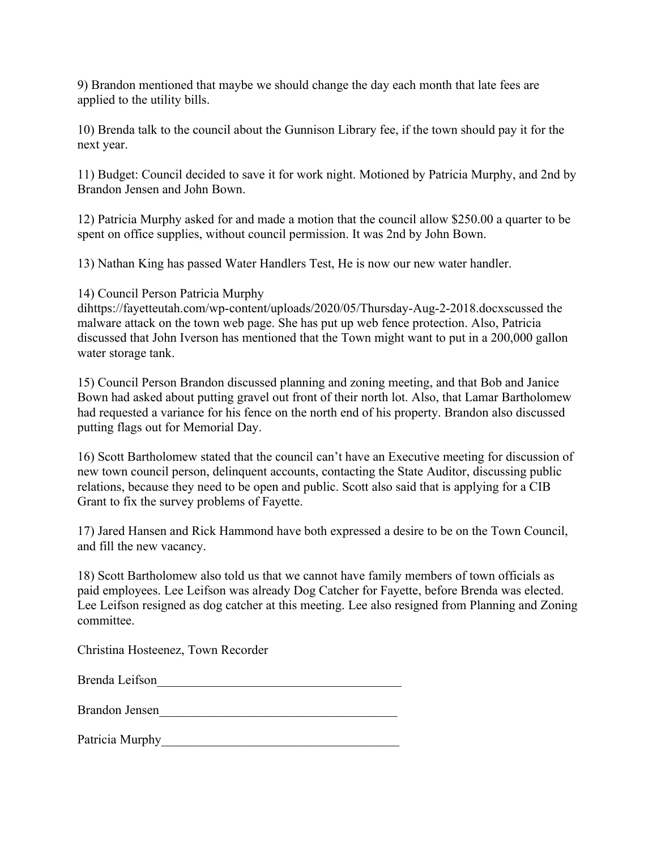9) Brandon mentioned that maybe we should change the day each month that late fees are applied to the utility bills.

10) Brenda talk to the council about the Gunnison Library fee, if the town should pay it for the next year.

11) Budget: Council decided to save it for work night. Motioned by Patricia Murphy, and 2nd by Brandon Jensen and John Bown.

12) Patricia Murphy asked for and made a motion that the council allow \$250.00 a quarter to be spent on office supplies, without council permission. It was 2nd by John Bown.

13) Nathan King has passed Water Handlers Test, He is now our new water handler.

14) Council Person Patricia Murphy

dihttps://fayetteutah.com/wp-content/uploads/2020/05/Thursday-Aug-2-2018.docxscussed the malware attack on the town web page. She has put up web fence protection. Also, Patricia discussed that John Iverson has mentioned that the Town might want to put in a 200,000 gallon water storage tank.

15) Council Person Brandon discussed planning and zoning meeting, and that Bob and Janice Bown had asked about putting gravel out front of their north lot. Also, that Lamar Bartholomew had requested a variance for his fence on the north end of his property. Brandon also discussed putting flags out for Memorial Day.

16) Scott Bartholomew stated that the council can't have an Executive meeting for discussion of new town council person, delinquent accounts, contacting the State Auditor, discussing public relations, because they need to be open and public. Scott also said that is applying for a CIB Grant to fix the survey problems of Fayette.

17) Jared Hansen and Rick Hammond have both expressed a desire to be on the Town Council, and fill the new vacancy.

18) Scott Bartholomew also told us that we cannot have family members of town officials as paid employees. Lee Leifson was already Dog Catcher for Fayette, before Brenda was elected. Lee Leifson resigned as dog catcher at this meeting. Lee also resigned from Planning and Zoning committee.

Christina Hosteenez, Town Recorder

| Brenda Leifson |  |
|----------------|--|
|                |  |

| Brandon Jensen |  |  |
|----------------|--|--|
|                |  |  |

Patricia Murphy